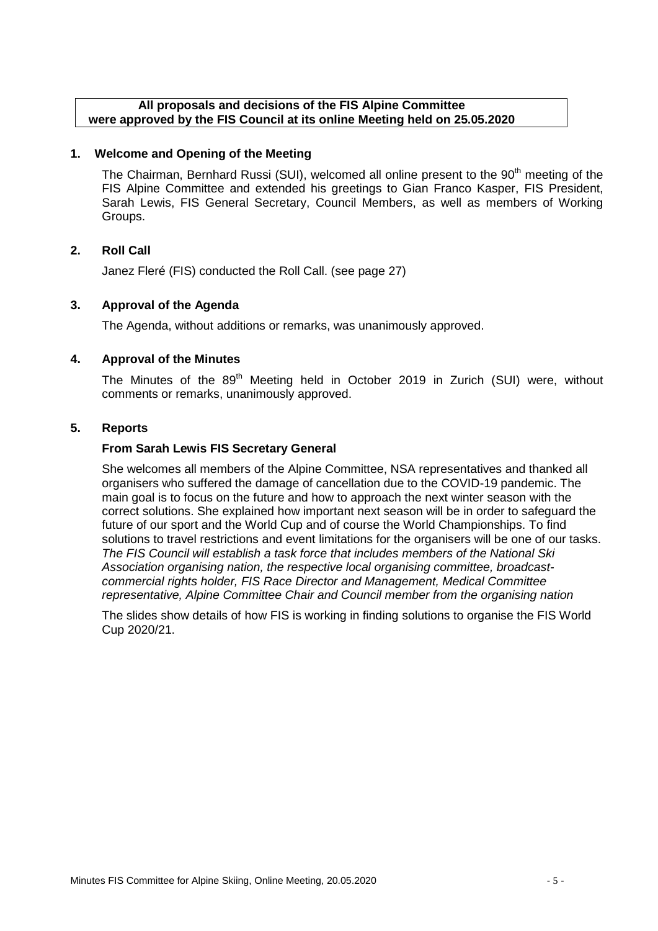#### **All proposals and decisions of the FIS Alpine Committee were approved by the FIS Council at its online Meeting held on 25.05.2020**

#### **1. Welcome and Opening of the Meeting**

The Chairman, Bernhard Russi (SUI), welcomed all online present to the 90<sup>th</sup> meeting of the FIS Alpine Committee and extended his greetings to Gian Franco Kasper, FIS President, Sarah Lewis, FIS General Secretary, Council Members, as well as members of Working Groups.

#### **2. Roll Call**

Janez Fleré (FIS) conducted the Roll Call. (see page 27)

#### **3. Approval of the Agenda**

The Agenda, without additions or remarks, was unanimously approved.

#### **4. Approval of the Minutes**

The Minutes of the 89<sup>th</sup> Meeting held in October 2019 in Zurich (SUI) were, without comments or remarks, unanimously approved.

#### **5. Reports**

#### **From Sarah Lewis FIS Secretary General**

She welcomes all members of the Alpine Committee, NSA representatives and thanked all organisers who suffered the damage of cancellation due to the COVID-19 pandemic. The main goal is to focus on the future and how to approach the next winter season with the correct solutions. She explained how important next season will be in order to safeguard the future of our sport and the World Cup and of course the World Championships. To find solutions to travel restrictions and event limitations for the organisers will be one of our tasks. *The FIS Council will establish a task force that includes members of the National Ski Association organising nation, the respective local organising committee, broadcastcommercial rights holder, FIS Race Director and Management, Medical Committee representative, Alpine Committee Chair and Council member from the organising nation*

The slides show details of how FIS is working in finding solutions to organise the FIS World Cup 2020/21.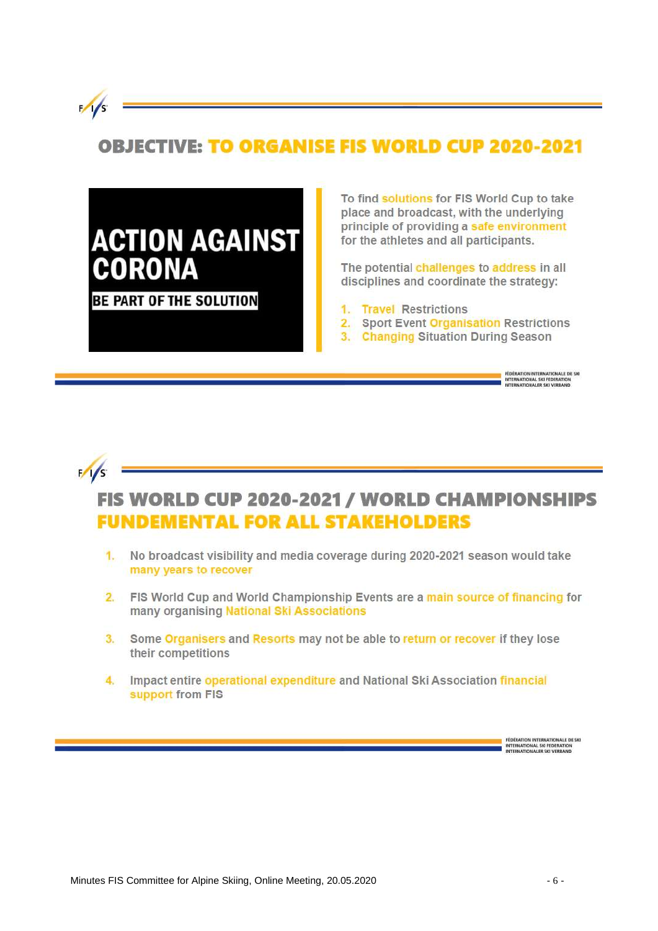

 $1/s$ 

# **OBJECTIVE: TO ORGANISE FIS WORLD CUP 2020-2021**

# **ACTION AGAINST CORONA**

**BE PART OF THE SOLUTION** 

To find solutions for FIS World Cup to take place and broadcast, with the underlying principle of providing a safe environment for the athletes and all participants.

The potential challenges to address in all disciplines and coordinate the strategy:

- 1. Travel Restrictions
- 2. Sport Event Organisation Restrictions
- 3. Changing Situation During Season

# FIS WORLD CUP 2020-2021 / WORLD CHAMPIONSHIPS **FUNDEMENTAL FOR ALL STAKEHOLDERS**

- 1. No broadcast visibility and media coverage during 2020-2021 season would take many years to recover
- 2. FIS World Cup and World Championship Events are a main source of financing for many organising National Ski Associations
- 3. Some Organisers and Resorts may not be able to return or recover if they lose their competitions
- 4. Impact entire operational expenditure and National Ski Association financial support from FIS

FÉDÉRATION INTERNATIONALE DE SKI<br>INTERNATIONAL SKI FEDERATION<br>INTERNATIONALER SKI VERBAND

**FEDERATION INTERNATIONALE DE SKI**<br>INTERNATIONAL SKI FEDERATION<br>INTERNATIONALER SKI VERBAND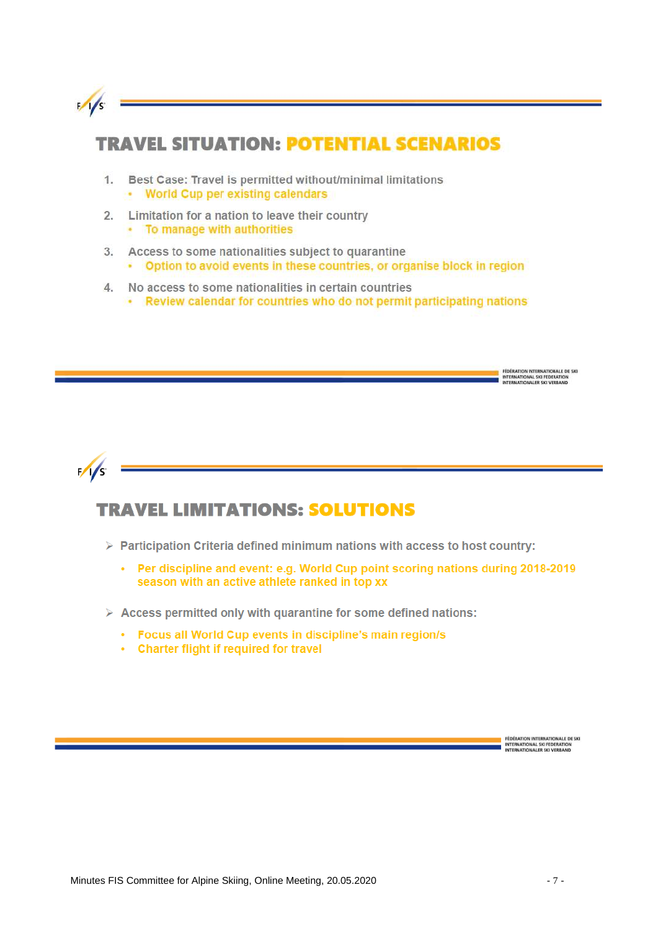

### **TRAVEL SITUATION: POTENTIAL SCENARIOS**

- Best Case: Travel is permitted without/minimal limitations  $1.$ • World Cup per existing calendars
- Limitation for a nation to leave their country  $\overline{2}$ . • To manage with authorities
- Access to some nationalities subject to quarantine  $3.$ • Option to avoid events in these countries, or organise block in region
- No access to some nationalities in certain countries  $\mathcal{A}$ . . Review calendar for countries who do not permit participating nations



# **TRAVEL LIMITATIONS: SOLUTIONS**

- $\triangleright$  Participation Criteria defined minimum nations with access to host country:
	- Per discipline and event: e.g. World Cup point scoring nations during 2018-2019  $\sim$ season with an active athlete ranked in top xx
- $\triangleright$  Access permitted only with quarantine for some defined nations:
	- Focus all World Cup events in discipline's main region/s
	- Charter flight if required for travel

FÉDÉRATION INTERNATIONALE DE SKI<br>INTERNATIONAL SKI FEDERATION<br>INTERNATIONALER SKI VERBAND

FÉDÉRATION INTERNATIONALE DE SKI<br>INTERNATIONAL SKI FEDERATION<br>INTERNATIONALER SKI VERBAND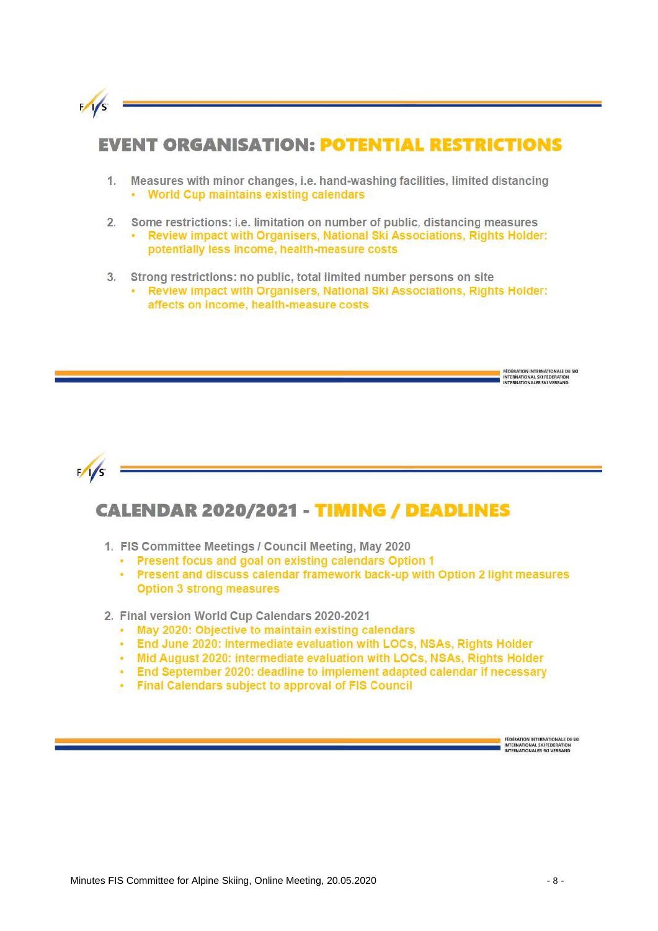

### **EVENT ORGANISATION: POTENTIAL RESTRICTIONS**

- Measures with minor changes, i.e. hand-washing facilities, limited distancing  $1.$ • World Cup maintains existing calendars
- $2.$ Some restrictions: i.e. limitation on number of public, distancing measures • Review impact with Organisers, National Ski Associations, Rights Holder: potentially less income, health-measure costs
- Strong restrictions: no public, total limited number persons on site  $3.$ 
	- . Review impact with Organisers, National Ski Associations, Rights Holder: affects on income, health-measure costs



# **CALENDAR 2020/2021 - TIMING / DEADLINES**

- 1. FIS Committee Meetings / Council Meeting, May 2020
	- Present focus and goal on existing calendars Option 1
	- Present and discuss calendar framework back-up with Option 2 light measures **Option 3 strong measures**
- 2. Final version World Cup Calendars 2020-2021
	- . May 2020: Objective to maintain existing calendars
	- . End June 2020: intermediate evaluation with LOCs, NSAs, Rights Holder
	- Mid August 2020: intermediate evaluation with LOCs, NSAs, Rights Holder
	- . End September 2020: deadline to implement adapted calendar if necessary
	- Final Calendars subject to approval of FIS Council

FÉDÉRATION INTERNATIONALE DE SKI<br>INTERNATIONAL SKI FEDERATION<br>INTERNATIONALER SKI VERBAND

**FEDERATION INTERNATIONALE DE SIG** INTERNATIONAL SKI FEDERATION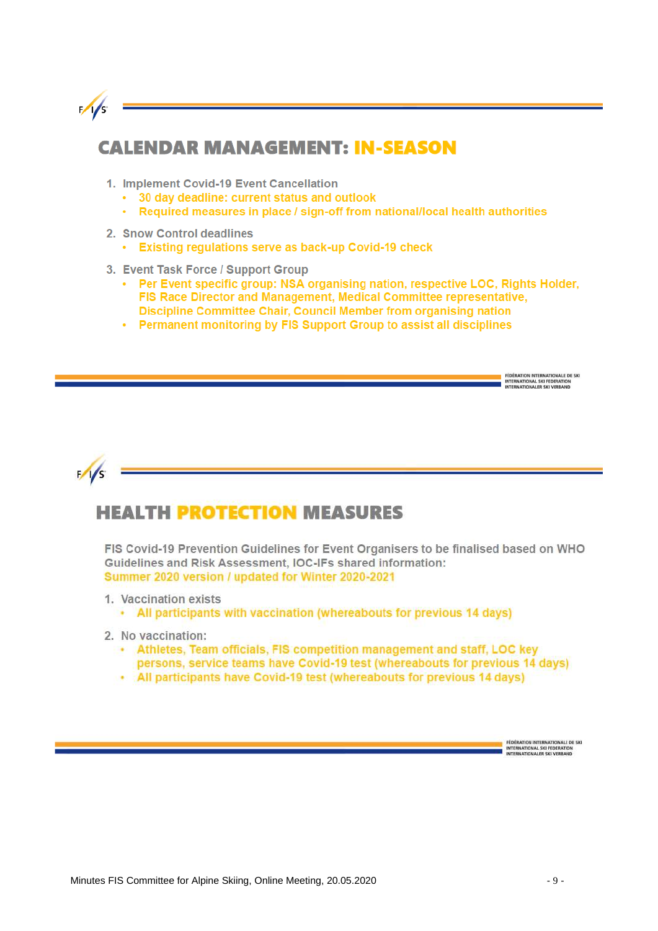

### **CALENDAR MANAGEMENT: IN-SEASON**

- 1. Implement Covid-19 Event Cancellation
	- 30 day deadline: current status and outlook
	- Required measures in place / sign-off from national/local health authorities ¥,
- 2. Snow Control deadlines
	- Existing regulations serve as back-up Covid-19 check
- 3. Event Task Force / Support Group
	- Per Event specific group: NSA organising nation, respective LOC, Rights Holder, FIS Race Director and Management, Medical Committee representative, Discipline Committee Chair, Council Member from organising nation
	- Permanent monitoring by FIS Support Group to assist all disciplines



### **HEALTH PROTECTION MEASURES**

FIS Covid-19 Prevention Guidelines for Event Organisers to be finalised based on WHO Guidelines and Risk Assessment, IOC-IFs shared information: Summer 2020 version / updated for Winter 2020-2021

- 1. Vaccination exists
	- All participants with vaccination (whereabouts for previous 14 days)
- 2. No vaccination:
	- Athletes, Team officials, FIS competition management and staff, LOC key persons, service teams have Covid-19 test (whereabouts for previous 14 days)
	- All participants have Covid-19 test (whereabouts for previous 14 days)

FÉDÉRATION INTERNATIONALE DE SKI<br>INTERNATIONAL SKI FEDERATION<br>INTERNATIONALER SKI VERBAND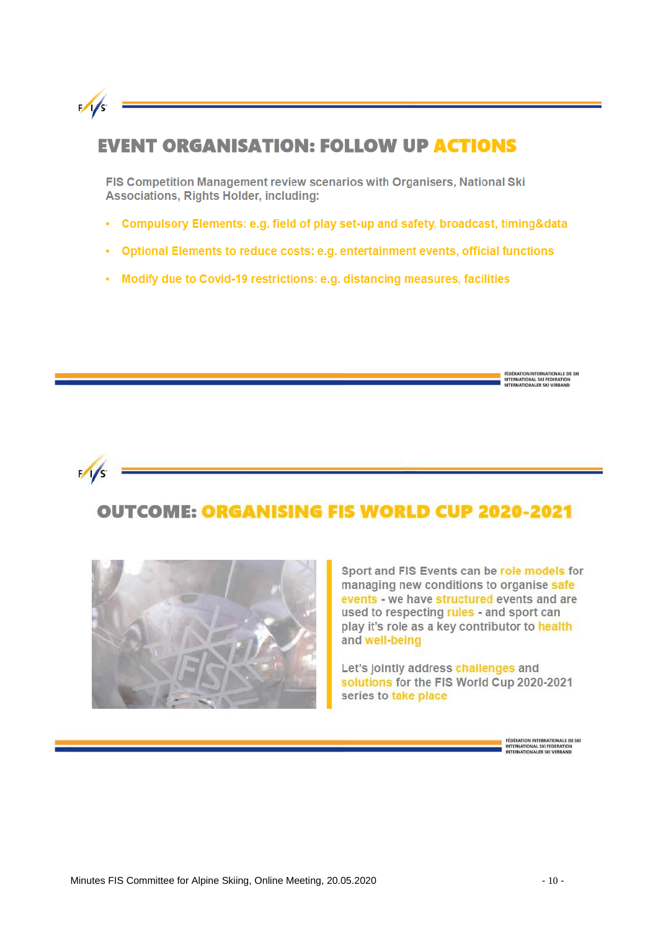

### **EVENT ORGANISATION: FOLLOW UP ACTIONS**

FIS Competition Management review scenarios with Organisers, National Ski **Associations, Rights Holder, including:** 

- Compulsory Elements: e.g. field of play set-up and safety, broadcast, timing&data
- Optional Elements to reduce costs: e.g. entertainment events, official functions
- Modify due to Covid-19 restrictions: e.g. distancing measures, facilities



# **OUTCOME: ORGANISING FIS WORLD CUP 2020-2021**



Sport and FIS Events can be role models for managing new conditions to organise safe events - we have structured events and are used to respecting rules - and sport can play it's role as a key contributor to health and well-being

Let's jointly address challenges and solutions for the FIS World Cup 2020-2021 series to take place

FEDERATION INTERNATIONALE DE SKI<br>INTERNATIONAL SKI FEDERATION<br>INTERNATIONALER SKI VERBAND

FÉDÉRATION INTERNATIONALE DE SKI<br>INTERNATIONAL SKI FEDERATION<br>INTERNATIONALER SKI VERBAND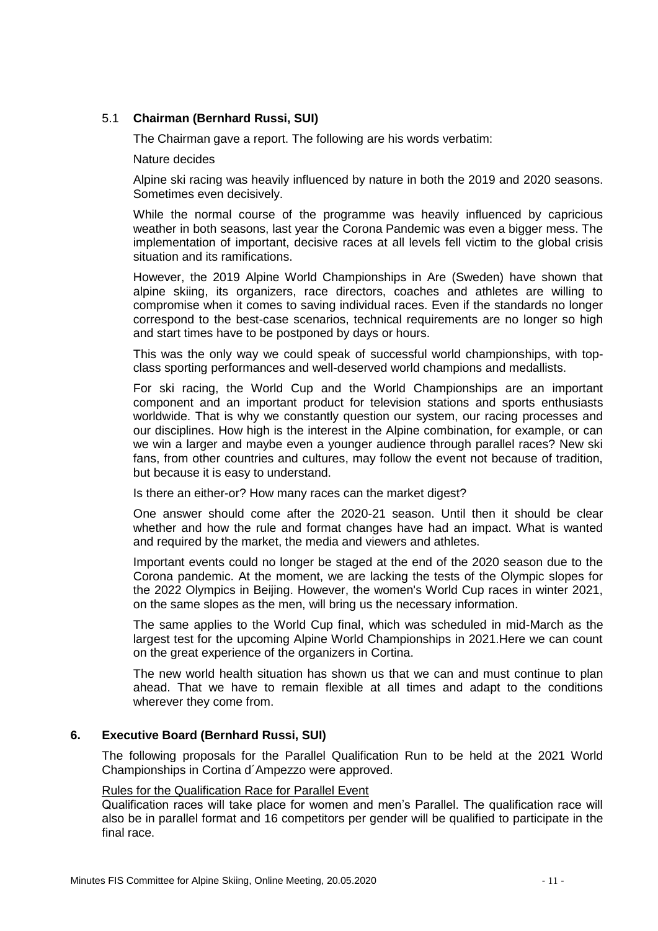#### 5.1 **Chairman (Bernhard Russi, SUI)**

The Chairman gave a report. The following are his words verbatim:

Nature decides

Alpine ski racing was heavily influenced by nature in both the 2019 and 2020 seasons. Sometimes even decisively.

While the normal course of the programme was heavily influenced by capricious weather in both seasons, last year the Corona Pandemic was even a bigger mess. The implementation of important, decisive races at all levels fell victim to the global crisis situation and its ramifications.

However, the 2019 Alpine World Championships in Are (Sweden) have shown that alpine skiing, its organizers, race directors, coaches and athletes are willing to compromise when it comes to saving individual races. Even if the standards no longer correspond to the best-case scenarios, technical requirements are no longer so high and start times have to be postponed by days or hours.

This was the only way we could speak of successful world championships, with topclass sporting performances and well-deserved world champions and medallists.

For ski racing, the World Cup and the World Championships are an important component and an important product for television stations and sports enthusiasts worldwide. That is why we constantly question our system, our racing processes and our disciplines. How high is the interest in the Alpine combination, for example, or can we win a larger and maybe even a younger audience through parallel races? New ski fans, from other countries and cultures, may follow the event not because of tradition, but because it is easy to understand.

Is there an either-or? How many races can the market digest?

One answer should come after the 2020-21 season. Until then it should be clear whether and how the rule and format changes have had an impact. What is wanted and required by the market, the media and viewers and athletes.

Important events could no longer be staged at the end of the 2020 season due to the Corona pandemic. At the moment, we are lacking the tests of the Olympic slopes for the 2022 Olympics in Beijing. However, the women's World Cup races in winter 2021, on the same slopes as the men, will bring us the necessary information.

The same applies to the World Cup final, which was scheduled in mid-March as the largest test for the upcoming Alpine World Championships in 2021.Here we can count on the great experience of the organizers in Cortina.

The new world health situation has shown us that we can and must continue to plan ahead. That we have to remain flexible at all times and adapt to the conditions wherever they come from.

#### **6. Executive Board (Bernhard Russi, SUI)**

The following proposals for the Parallel Qualification Run to be held at the 2021 World Championships in Cortina d´Ampezzo were approved.

#### Rules for the Qualification Race for Parallel Event

Qualification races will take place for women and men's Parallel. The qualification race will also be in parallel format and 16 competitors per gender will be qualified to participate in the final race.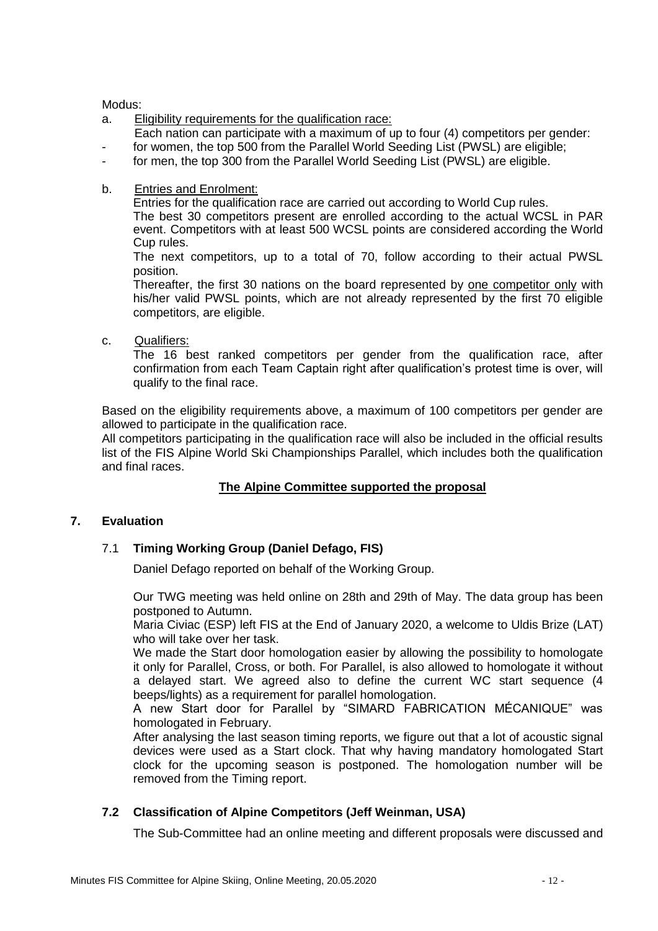Modus:

- a. Eligibility requirements for the qualification race:
- Each nation can participate with a maximum of up to four (4) competitors per gender:
- for women, the top 500 from the Parallel World Seeding List (PWSL) are eligible;
- for men, the top 300 from the Parallel World Seeding List (PWSL) are eligible.
- b. Entries and Enrolment:

Entries for the qualification race are carried out according to World Cup rules. The best 30 competitors present are enrolled according to the actual WCSL in PAR

event. Competitors with at least 500 WCSL points are considered according the World Cup rules.

The next competitors, up to a total of 70, follow according to their actual PWSL position.

Thereafter, the first 30 nations on the board represented by one competitor only with his/her valid PWSL points, which are not already represented by the first 70 eligible competitors, are eligible.

c. Qualifiers:

The 16 best ranked competitors per gender from the qualification race, after confirmation from each Team Captain right after qualification's protest time is over, will qualify to the final race.

Based on the eligibility requirements above, a maximum of 100 competitors per gender are allowed to participate in the qualification race.

All competitors participating in the qualification race will also be included in the official results list of the FIS Alpine World Ski Championships Parallel, which includes both the qualification and final races.

#### **The Alpine Committee supported the proposal**

#### **7. Evaluation**

#### 7.1 **Timing Working Group (Daniel Defago, FIS)**

Daniel Defago reported on behalf of the Working Group.

Our TWG meeting was held online on 28th and 29th of May. The data group has been postponed to Autumn.

Maria Civiac (ESP) left FIS at the End of January 2020, a welcome to Uldis Brize (LAT) who will take over her task.

We made the Start door homologation easier by allowing the possibility to homologate it only for Parallel, Cross, or both. For Parallel, is also allowed to homologate it without a delayed start. We agreed also to define the current WC start sequence (4 beeps/lights) as a requirement for parallel homologation.

A new Start door for Parallel by "SIMARD FABRICATION MÉCANIQUE" was homologated in February.

After analysing the last season timing reports, we figure out that a lot of acoustic signal devices were used as a Start clock. That why having mandatory homologated Start clock for the upcoming season is postponed. The homologation number will be removed from the Timing report.

#### **7.2 Classification of Alpine Competitors (Jeff Weinman, USA)**

The Sub-Committee had an online meeting and different proposals were discussed and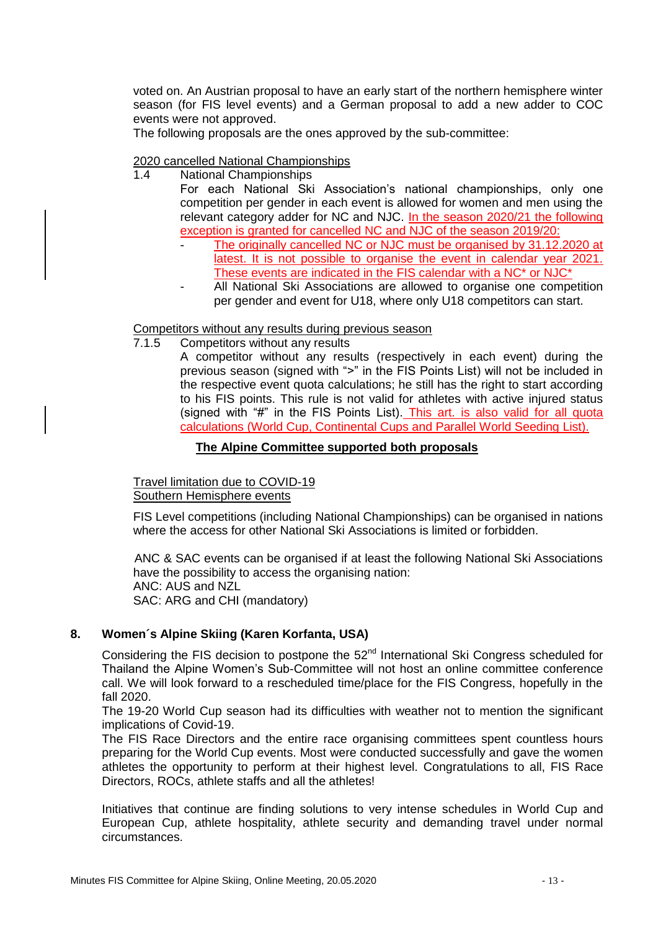voted on. An Austrian proposal to have an early start of the northern hemisphere winter season (for FIS level events) and a German proposal to add a new adder to COC events were not approved.

The following proposals are the ones approved by the sub-committee:

#### 2020 cancelled National Championships

- 1.4 National Championships For each National Ski Association's national championships, only one competition per gender in each event is allowed for women and men using the relevant category adder for NC and NJC. In the season 2020/21 the following exception is granted for cancelled NC and NJC of the season 2019/20:
	- The originally cancelled NC or NJC must be organised by 31.12.2020 at latest. It is not possible to organise the event in calendar year 2021. These events are indicated in the FIS calendar with a NC\* or NJC\*
	- All National Ski Associations are allowed to organise one competition per gender and event for U18, where only U18 competitors can start.

#### Competitors without any results during previous season

7.1.5 Competitors without any results

A competitor without any results (respectively in each event) during the previous season (signed with ">" in the FIS Points List) will not be included in the respective event quota calculations; he still has the right to start according to his FIS points. This rule is not valid for athletes with active injured status (signed with "#" in the FIS Points List). This art. is also valid for all quota calculations (World Cup, Continental Cups and Parallel World Seeding List).

#### **The Alpine Committee supported both proposals**

Travel limitation due to COVID-19 Southern Hemisphere events

FIS Level competitions (including National Championships) can be organised in nations where the access for other National Ski Associations is limited or forbidden.

ANC & SAC events can be organised if at least the following National Ski Associations have the possibility to access the organising nation: ANC: AUS and NZL SAC: ARG and CHI (mandatory)

#### **8. Women´s Alpine Skiing (Karen Korfanta, USA)**

Considering the FIS decision to postpone the  $52<sup>nd</sup>$  International Ski Congress scheduled for Thailand the Alpine Women's Sub-Committee will not host an online committee conference call. We will look forward to a rescheduled time/place for the FIS Congress, hopefully in the fall 2020.

The 19-20 World Cup season had its difficulties with weather not to mention the significant implications of Covid-19.

The FIS Race Directors and the entire race organising committees spent countless hours preparing for the World Cup events. Most were conducted successfully and gave the women athletes the opportunity to perform at their highest level. Congratulations to all, FIS Race Directors, ROCs, athlete staffs and all the athletes!

Initiatives that continue are finding solutions to very intense schedules in World Cup and European Cup, athlete hospitality, athlete security and demanding travel under normal circumstances.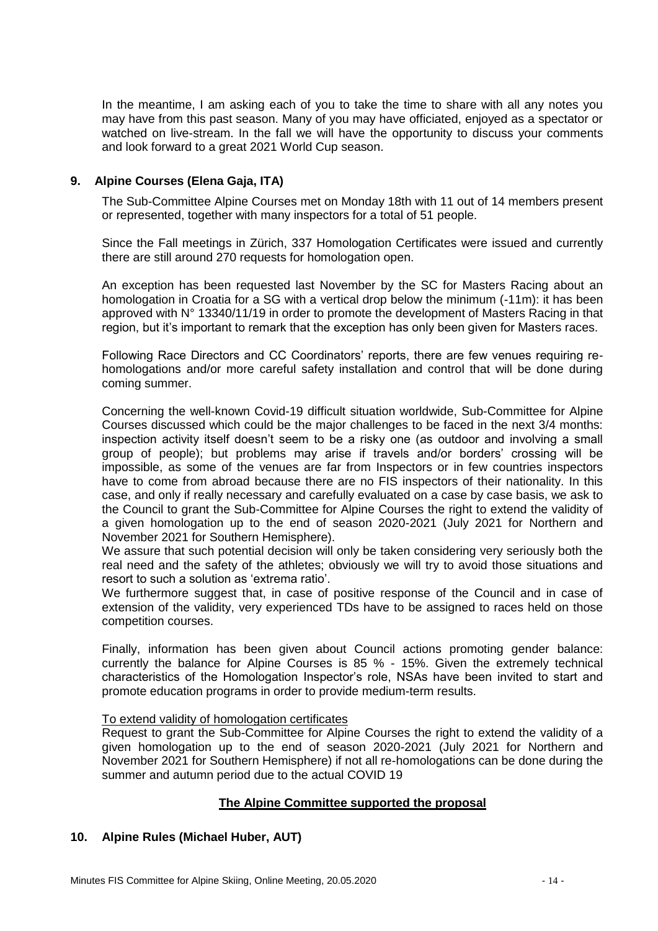In the meantime, I am asking each of you to take the time to share with all any notes you may have from this past season. Many of you may have officiated, enjoyed as a spectator or watched on live-stream. In the fall we will have the opportunity to discuss your comments and look forward to a great 2021 World Cup season.

#### **9. Alpine Courses (Elena Gaja, ITA)**

The Sub-Committee Alpine Courses met on Monday 18th with 11 out of 14 members present or represented, together with many inspectors for a total of 51 people.

Since the Fall meetings in Zürich, 337 Homologation Certificates were issued and currently there are still around 270 requests for homologation open.

An exception has been requested last November by the SC for Masters Racing about an homologation in Croatia for a SG with a vertical drop below the minimum (-11m): it has been approved with N° 13340/11/19 in order to promote the development of Masters Racing in that region, but it's important to remark that the exception has only been given for Masters races.

Following Race Directors and CC Coordinators' reports, there are few venues requiring rehomologations and/or more careful safety installation and control that will be done during coming summer.

Concerning the well-known Covid-19 difficult situation worldwide, Sub-Committee for Alpine Courses discussed which could be the major challenges to be faced in the next 3/4 months: inspection activity itself doesn't seem to be a risky one (as outdoor and involving a small group of people); but problems may arise if travels and/or borders' crossing will be impossible, as some of the venues are far from Inspectors or in few countries inspectors have to come from abroad because there are no FIS inspectors of their nationality. In this case, and only if really necessary and carefully evaluated on a case by case basis, we ask to the Council to grant the Sub-Committee for Alpine Courses the right to extend the validity of a given homologation up to the end of season 2020-2021 (July 2021 for Northern and November 2021 for Southern Hemisphere).

We assure that such potential decision will only be taken considering very seriously both the real need and the safety of the athletes; obviously we will try to avoid those situations and resort to such a solution as 'extrema ratio'.

We furthermore suggest that, in case of positive response of the Council and in case of extension of the validity, very experienced TDs have to be assigned to races held on those competition courses.

Finally, information has been given about Council actions promoting gender balance: currently the balance for Alpine Courses is 85 % - 15%. Given the extremely technical characteristics of the Homologation Inspector's role, NSAs have been invited to start and promote education programs in order to provide medium-term results.

#### To extend validity of homologation certificates

Request to grant the Sub-Committee for Alpine Courses the right to extend the validity of a given homologation up to the end of season 2020-2021 (July 2021 for Northern and November 2021 for Southern Hemisphere) if not all re-homologations can be done during the summer and autumn period due to the actual COVID 19

#### **The Alpine Committee supported the proposal**

#### **10. Alpine Rules (Michael Huber, AUT)**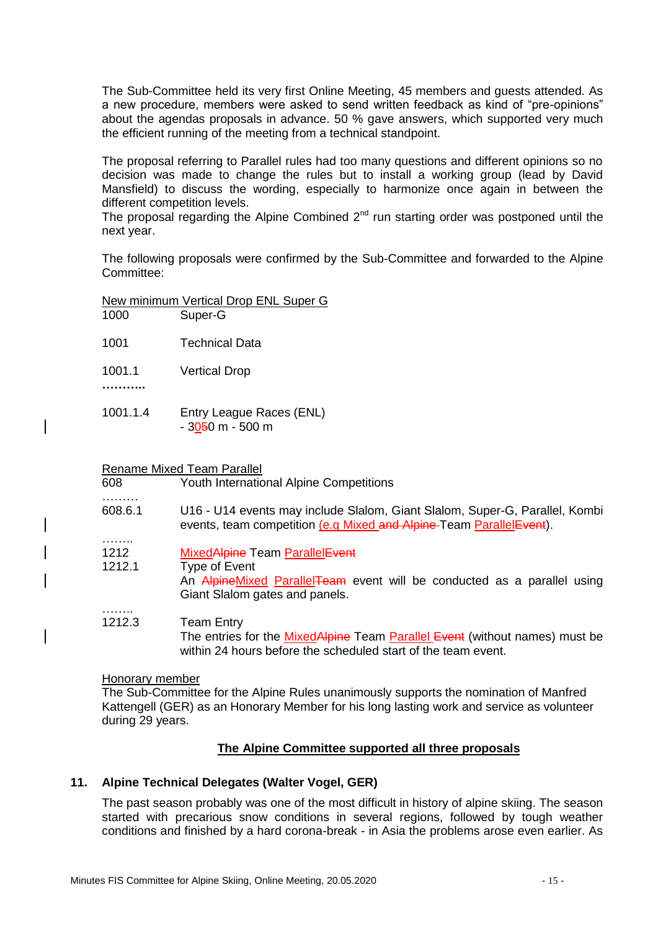The Sub-Committee held its very first Online Meeting, 45 members and guests attended. As a new procedure, members were asked to send written feedback as kind of "pre-opinions" about the agendas proposals in advance. 50 % gave answers, which supported very much the efficient running of the meeting from a technical standpoint.

The proposal referring to Parallel rules had too many questions and different opinions so no decision was made to change the rules but to install a working group (lead by David Mansfield) to discuss the wording, especially to harmonize once again in between the different competition levels.

The proposal regarding the Alpine Combined  $2<sup>nd</sup>$  run starting order was postponed until the next year.

The following proposals were confirmed by the Sub-Committee and forwarded to the Alpine Committee:

| New minimum Vertical Drop ENL Super G |  |  |  |
|---------------------------------------|--|--|--|
|                                       |  |  |  |

| Super-G |
|---------|
|         |

- 1001 Technical Data
- 1001.1 Vertical Drop
- **………..**

…………

………

……..

1001.1.4 Entry League Races (ENL)  $-3050$  m  $-500$  m

#### Rename Mixed Team Parallel

- 608 Youth International Alpine Competitions
- 608.6.1 U16 U14 events may include Slalom, Giant Slalom, Super-G, Parallel, Kombi events, team competition (e.g Mixed and Alpine-Team Parallel Event).
- 1212 MixedAlpine Team ParallelEvent
- 1212.1 Type of Event An AlpineMixed ParallelTeam event will be conducted as a parallel using Giant Slalom gates and panels.

#### 1212.3 Team Entry

The entries for the Mixed Alpine Team Parallel Event (without names) must be within 24 hours before the scheduled start of the team event.

#### Honorary member

The Sub-Committee for the Alpine Rules unanimously supports the nomination of Manfred Kattengell (GER) as an Honorary Member for his long lasting work and service as volunteer during 29 years.

#### **The Alpine Committee supported all three proposals**

#### **11. Alpine Technical Delegates (Walter Vogel, GER)**

The past season probably was one of the most difficult in history of alpine skiing. The season started with precarious snow conditions in several regions, followed by tough weather conditions and finished by a hard corona-break - in Asia the problems arose even earlier. As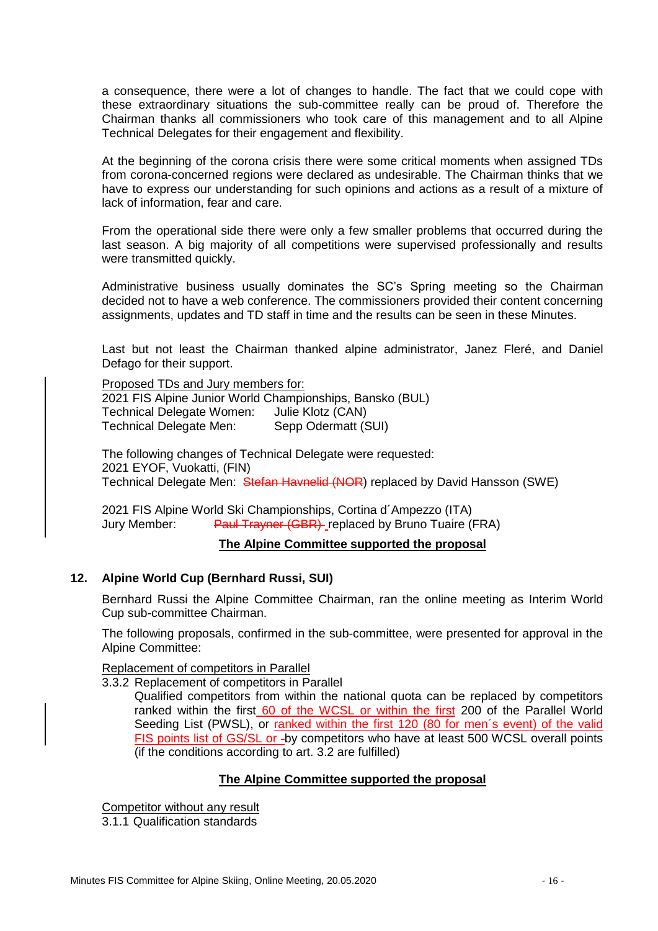a consequence, there were a lot of changes to handle. The fact that we could cope with these extraordinary situations the sub-committee really can be proud of. Therefore the Chairman thanks all commissioners who took care of this management and to all Alpine Technical Delegates for their engagement and flexibility.

At the beginning of the corona crisis there were some critical moments when assigned TDs from corona-concerned regions were declared as undesirable. The Chairman thinks that we have to express our understanding for such opinions and actions as a result of a mixture of lack of information, fear and care.

From the operational side there were only a few smaller problems that occurred during the last season. A big majority of all competitions were supervised professionally and results were transmitted quickly.

Administrative business usually dominates the SC's Spring meeting so the Chairman decided not to have a web conference. The commissioners provided their content concerning assignments, updates and TD staff in time and the results can be seen in these Minutes.

Last but not least the Chairman thanked alpine administrator, Janez Fleré, and Daniel Defago for their support.

Proposed TDs and Jury members for: 2021 FIS Alpine Junior World Championships, Bansko (BUL) Technical Delegate Women: Julie Klotz (CAN) Technical Delegate Men: Sepp Odermatt (SUI)

The following changes of Technical Delegate were requested: 2021 EYOF, Vuokatti, (FIN) Technical Delegate Men: Stefan Havnelid (NOR) replaced by David Hansson (SWE)

2021 FIS Alpine World Ski Championships, Cortina d´Ampezzo (ITA) Jury Member: Paul Trayner (GBR) replaced by Bruno Tuaire (FRA)

#### **The Alpine Committee supported the proposal**

#### **12. Alpine World Cup (Bernhard Russi, SUI)**

Bernhard Russi the Alpine Committee Chairman, ran the online meeting as Interim World Cup sub-committee Chairman.

The following proposals, confirmed in the sub-committee, were presented for approval in the Alpine Committee:

Replacement of competitors in Parallel

3.3.2 Replacement of competitors in Parallel

Qualified competitors from within the national quota can be replaced by competitors ranked within the first 60 of the WCSL or within the first 200 of the Parallel World Seeding List (PWSL), or ranked within the first 120 (80 for men's event) of the valid FIS points list of GS/SL or -by competitors who have at least 500 WCSL overall points (if the conditions according to art. 3.2 are fulfilled)

#### **The Alpine Committee supported the proposal**

Competitor without any result

3.1.1 Qualification standards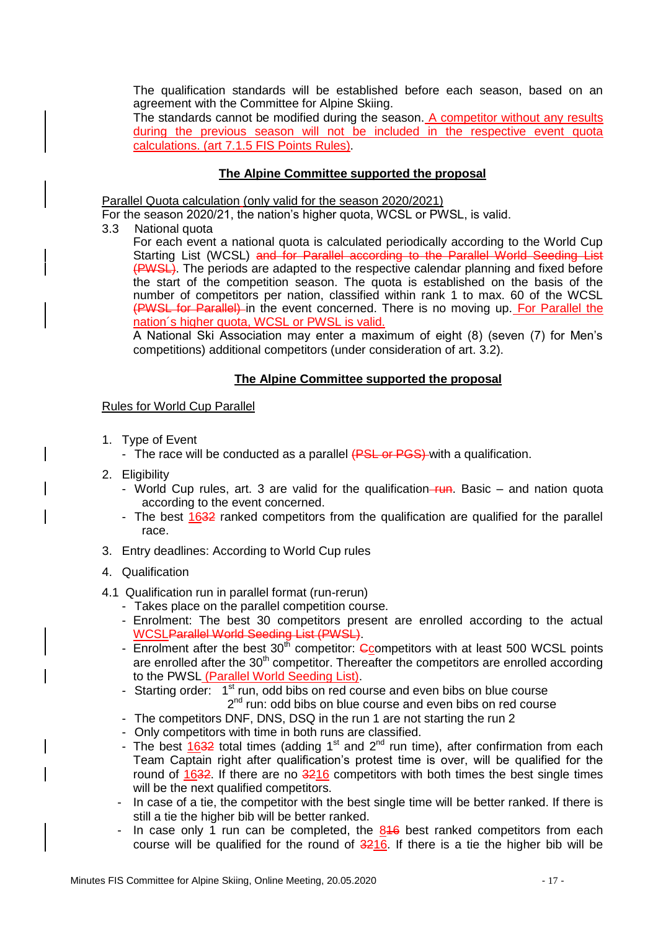The qualification standards will be established before each season, based on an agreement with the Committee for Alpine Skiing.

The standards cannot be modified during the season. A competitor without any results during the previous season will not be included in the respective event quota calculations. (art 7.1.5 FIS Points Rules).

#### **The Alpine Committee supported the proposal**

Parallel Quota calculation (only valid for the season 2020/2021)

For the season 2020/21, the nation's higher quota, WCSL or PWSL, is valid.

3.3 National quota

For each event a national quota is calculated periodically according to the World Cup Starting List (WCSL) and for Parallel according to the Parallel World Seeding List (PWSL). The periods are adapted to the respective calendar planning and fixed before the start of the competition season. The quota is established on the basis of the number of competitors per nation, classified within rank 1 to max. 60 of the WCSL (PWSL for Parallel) in the event concerned. There is no moving up. For Parallel the nation´s higher quota, WCSL or PWSL is valid.

A National Ski Association may enter a maximum of eight (8) (seven (7) for Men's competitions) additional competitors (under consideration of art. 3.2).

#### **The Alpine Committee supported the proposal**

#### Rules for World Cup Parallel

- 1. Type of Event
	- The race will be conducted as a parallel (PSL or PGS) with a qualification.
- 2. Eligibility
	- World Cup rules, art. 3 are valid for the qualification- $run$ . Basic and nation quota according to the event concerned.
	- The best 1632 ranked competitors from the qualification are qualified for the parallel race.
- 3. Entry deadlines: According to World Cup rules
- 4. Qualification
- 4.1 Qualification run in parallel format (run-rerun)
	- Takes place on the parallel competition course.
	- Enrolment: The best 30 competitors present are enrolled according to the actual WCSLParallel World Seeding List (PWSL).
	- Enrolment after the best  $30<sup>th</sup>$  competitor: Ccompetitors with at least 500 WCSL points are enrolled after the  $30<sup>th</sup>$  competitor. Thereafter the competitors are enrolled according to the PWSL (Parallel World Seeding List).
	- Starting order: 1<sup>st</sup> run, odd bibs on red course and even bibs on blue course 2<sup>nd</sup> run: odd bibs on blue course and even bibs on red course
	- The competitors DNF, DNS, DSQ in the run 1 are not starting the run 2
	- Only competitors with time in both runs are classified.
	- The best  $1632$  total times (adding  $1<sup>st</sup>$  and  $2<sup>nd</sup>$  run time), after confirmation from each Team Captain right after qualification's protest time is over, will be qualified for the round of 1632. If there are no 3216 competitors with both times the best single times will be the next qualified competitors.
	- In case of a tie, the competitor with the best single time will be better ranked. If there is still a tie the higher bib will be better ranked.
	- In case only 1 run can be completed, the  $846$  best ranked competitors from each course will be qualified for the round of  $3216$ . If there is a tie the higher bib will be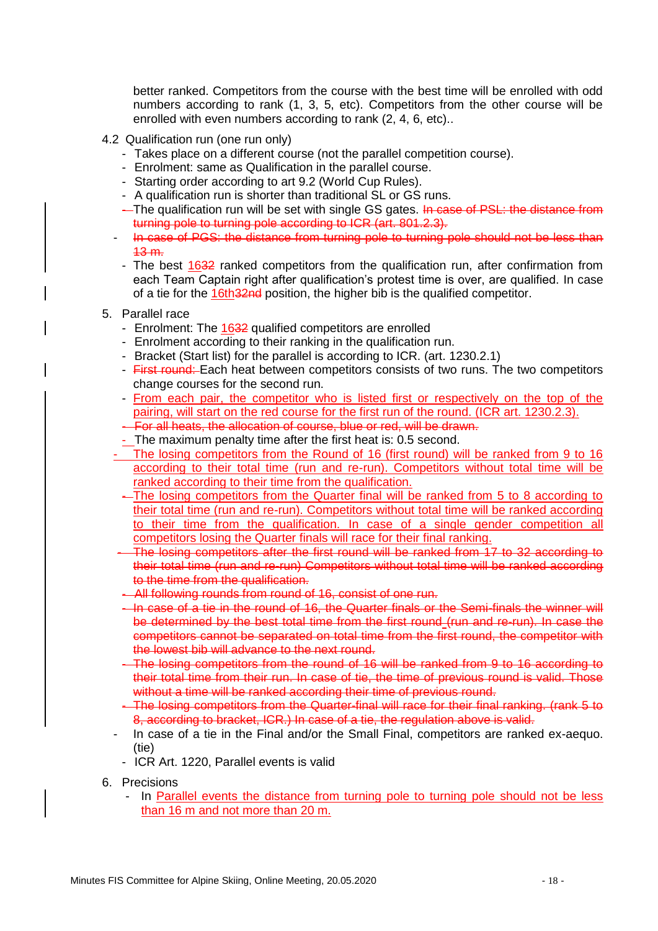better ranked. Competitors from the course with the best time will be enrolled with odd numbers according to rank (1, 3, 5, etc). Competitors from the other course will be enrolled with even numbers according to rank (2, 4, 6, etc)..

- 4.2 Qualification run (one run only)
	- Takes place on a different course (not the parallel competition course).
	- Enrolment: same as Qualification in the parallel course.
	- Starting order according to art 9.2 (World Cup Rules).
	- A qualification run is shorter than traditional SL or GS runs.
	- The qualification run will be set with single GS gates. In case of PSL: the distance from turning pole to turning pole according to ICR (art. 801.2.3).
	- In case of PGS: the distance from turning pole to turning pole should not be less than 13 m.
	- The best 1632 ranked competitors from the qualification run, after confirmation from each Team Captain right after qualification's protest time is over, are qualified. In case of a tie for the 16th 32nd position, the higher bib is the qualified competitor.
- 5. Parallel race
	- Enrolment: The 1632 qualified competitors are enrolled
	- Enrolment according to their ranking in the qualification run.
	- Bracket (Start list) for the parallel is according to ICR. (art. 1230.2.1)
	- First round: Each heat between competitors consists of two runs. The two competitors change courses for the second run.
	- From each pair, the competitor who is listed first or respectively on the top of the pairing, will start on the red course for the first run of the round. (ICR art. 1230.2.3).
	- For all heats, the allocation of course, blue or red, will be drawn.
	- The maximum penalty time after the first heat is: 0.5 second.
	- The losing competitors from the Round of 16 (first round) will be ranked from 9 to 16 according to their total time (run and re-run). Competitors without total time will be ranked according to their time from the qualification.
	- The losing competitors from the Quarter final will be ranked from 5 to 8 according to their total time (run and re-run). Competitors without total time will be ranked according to their time from the qualification. In case of a single gender competition all competitors losing the Quarter finals will race for their final ranking.
	- The losing competitors after the first round will be ranked from 17 to 32 according to their total time (run and re-run) Competitors without total time will be ranked according to the time from the qualification.
	- All following rounds from round of 16, consist of one run.
	- In case of a tie in the round of 16, the Quarter finals or the Semi-finals the winner will be determined by the best total time from the first round (run and re-run). In case the competitors cannot be separated on total time from the first round, the competitor with the lowest bib will advance to the next round.
	- The losing competitors from the round of 16 will be ranked from 9 to 16 according to their total time from their run. In case of tie, the time of previous round is valid. Those without a time will be ranked according their time of previous round.
	- The losing competitors from the Quarter-final will race for their final ranking. (rank 5 to 8, according to bracket, ICR.) In case of a tie, the regulation above is valid.
	- In case of a tie in the Final and/or the Small Final, competitors are ranked ex-aequo. (tie)
	- ICR Art. 1220, Parallel events is valid
- 6. Precisions
	- In Parallel events the distance from turning pole to turning pole should not be less than 16 m and not more than 20 m.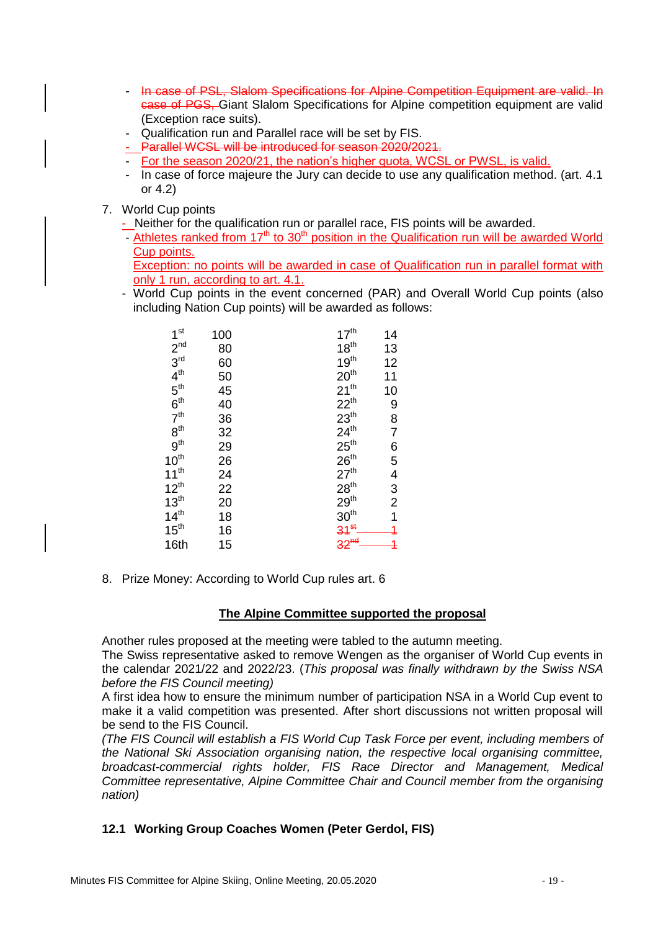- In case of PSL, Slalom Specifications for Alpine Competition Equipment are valid. In case of PGS, Giant Slalom Specifications for Alpine competition equipment are valid (Exception race suits).
- Qualification run and Parallel race will be set by FIS.
- Parallel WCSL will be introduced for season 2020/2021.
- For the season 2020/21, the nation's higher quota, WCSL or PWSL, is valid.
- In case of force majeure the Jury can decide to use any qualification method. (art. 4.1 or 4.2)
- 7. World Cup points
	- Neither for the qualification run or parallel race, FIS points will be awarded.
	- Athletes ranked from  $17<sup>th</sup>$  to  $30<sup>th</sup>$  position in the Qualification run will be awarded World Cup points.

Exception: no points will be awarded in case of Qualification run in parallel format with only 1 run, according to art. 4.1.

- World Cup points in the event concerned (PAR) and Overall World Cup points (also including Nation Cup points) will be awarded as follows:

| 1 <sup>st</sup>  | 100 | 17 <sup>th</sup>          | 14               |
|------------------|-----|---------------------------|------------------|
| 2 <sup>nd</sup>  | 80  | $18^{th}$                 | 13               |
| 3 <sup>rd</sup>  | 60  | 19 <sup>th</sup>          | 12               |
| $4^{\text{th}}$  | 50  | 20 <sup>th</sup>          | 11               |
| $5^{\text{th}}$  | 45  | $21^{th}$                 | 10               |
| 6 <sup>th</sup>  | 40  | $22^{th}$                 |                  |
| 7 <sup>th</sup>  | 36  | 23 <sup>th</sup>          | $\frac{9}{8}$    |
| 8 <sup>th</sup>  | 32  | $24^{\text{th}}$          | $\overline{7}$   |
| 9 <sup>th</sup>  | 29  | $25^{\text{th}}$          | 6<br>5<br>4<br>3 |
| $10^{\text{th}}$ | 26  | $26^{\text{th}}$          |                  |
| $11^{th}$        | 24  | 27 <sup>th</sup>          |                  |
| $12^{th}$        | 22  | 28 <sup>th</sup>          |                  |
| 13 <sup>th</sup> | 20  | $29^{\text{th}}$          | $\overline{2}$   |
| 14 <sup>th</sup> | 18  | 30 <sup>th</sup>          | $\overline{1}$   |
| 15 <sup>th</sup> | 16  |                           |                  |
| 16th             | 15  | $\frac{34^{st}}{32^{nd}}$ | $\ddagger$       |

8. Prize Money: According to World Cup rules art. 6

#### **The Alpine Committee supported the proposal**

Another rules proposed at the meeting were tabled to the autumn meeting.

The Swiss representative asked to remove Wengen as the organiser of World Cup events in the calendar 2021/22 and 2022/23. (*This proposal was finally withdrawn by the Swiss NSA before the FIS Council meeting)*

A first idea how to ensure the minimum number of participation NSA in a World Cup event to make it a valid competition was presented. After short discussions not written proposal will be send to the FIS Council.

*(The FIS Council will establish a FIS World Cup Task Force per event, including members of the National Ski Association organising nation, the respective local organising committee, broadcast-commercial rights holder, FIS Race Director and Management, Medical Committee representative, Alpine Committee Chair and Council member from the organising nation)*

#### **12.1 Working Group Coaches Women (Peter Gerdol, FIS)**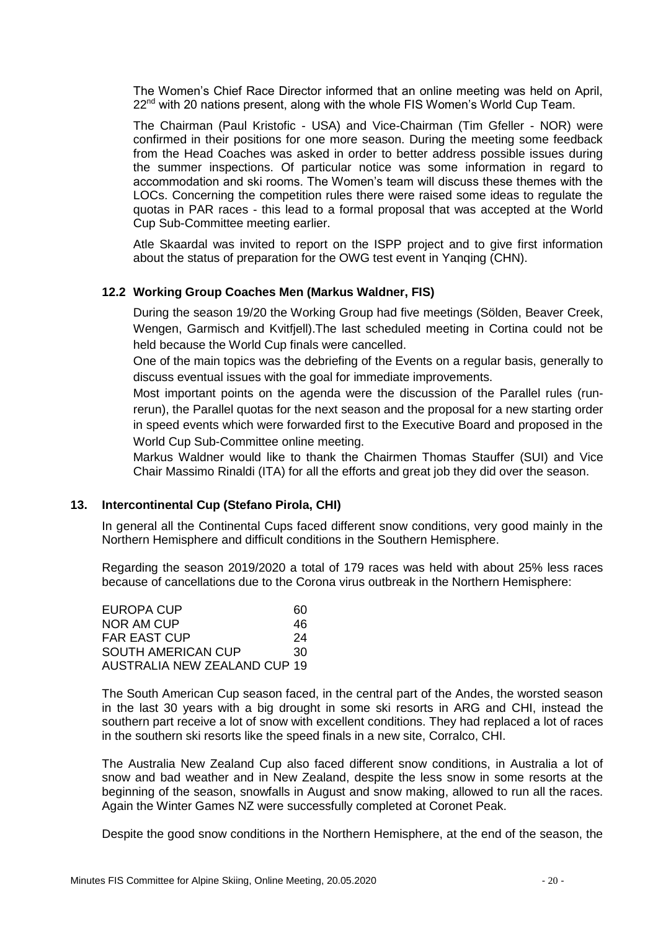The Women's Chief Race Director informed that an online meeting was held on April,  $22<sup>nd</sup>$  with 20 nations present, along with the whole FIS Women's World Cup Team.

The Chairman (Paul Kristofic - USA) and Vice-Chairman (Tim Gfeller - NOR) were confirmed in their positions for one more season. During the meeting some feedback from the Head Coaches was asked in order to better address possible issues during the summer inspections. Of particular notice was some information in regard to accommodation and ski rooms. The Women's team will discuss these themes with the LOCs. Concerning the competition rules there were raised some ideas to regulate the quotas in PAR races - this lead to a formal proposal that was accepted at the World Cup Sub-Committee meeting earlier.

Atle Skaardal was invited to report on the ISPP project and to give first information about the status of preparation for the OWG test event in Yanqing (CHN).

#### **12.2 Working Group Coaches Men (Markus Waldner, FIS)**

During the season 19/20 the Working Group had five meetings (Sölden, Beaver Creek, Wengen, Garmisch and Kvitfjell).The last scheduled meeting in Cortina could not be held because the World Cup finals were cancelled.

One of the main topics was the debriefing of the Events on a regular basis, generally to discuss eventual issues with the goal for immediate improvements.

Most important points on the agenda were the discussion of the Parallel rules (runrerun), the Parallel quotas for the next season and the proposal for a new starting order in speed events which were forwarded first to the Executive Board and proposed in the World Cup Sub-Committee online meeting.

Markus Waldner would like to thank the Chairmen Thomas Stauffer (SUI) and Vice Chair Massimo Rinaldi (ITA) for all the efforts and great job they did over the season.

#### **13. Intercontinental Cup (Stefano Pirola, CHI)**

In general all the Continental Cups faced different snow conditions, very good mainly in the Northern Hemisphere and difficult conditions in the Southern Hemisphere.

Regarding the season 2019/2020 a total of 179 races was held with about 25% less races because of cancellations due to the Corona virus outbreak in the Northern Hemisphere:

| EUROPA CUP                   | 60 |
|------------------------------|----|
| NOR AM CUP                   | 46 |
| FAR EAST CUP                 | 24 |
| SOUTH AMERICAN CUP           | 30 |
| AUSTRALIA NEW ZEALAND CUP 19 |    |

The South American Cup season faced, in the central part of the Andes, the worsted season in the last 30 years with a big drought in some ski resorts in ARG and CHI, instead the southern part receive a lot of snow with excellent conditions. They had replaced a lot of races in the southern ski resorts like the speed finals in a new site, Corralco, CHI.

The Australia New Zealand Cup also faced different snow conditions, in Australia a lot of snow and bad weather and in New Zealand, despite the less snow in some resorts at the beginning of the season, snowfalls in August and snow making, allowed to run all the races. Again the Winter Games NZ were successfully completed at Coronet Peak.

Despite the good snow conditions in the Northern Hemisphere, at the end of the season, the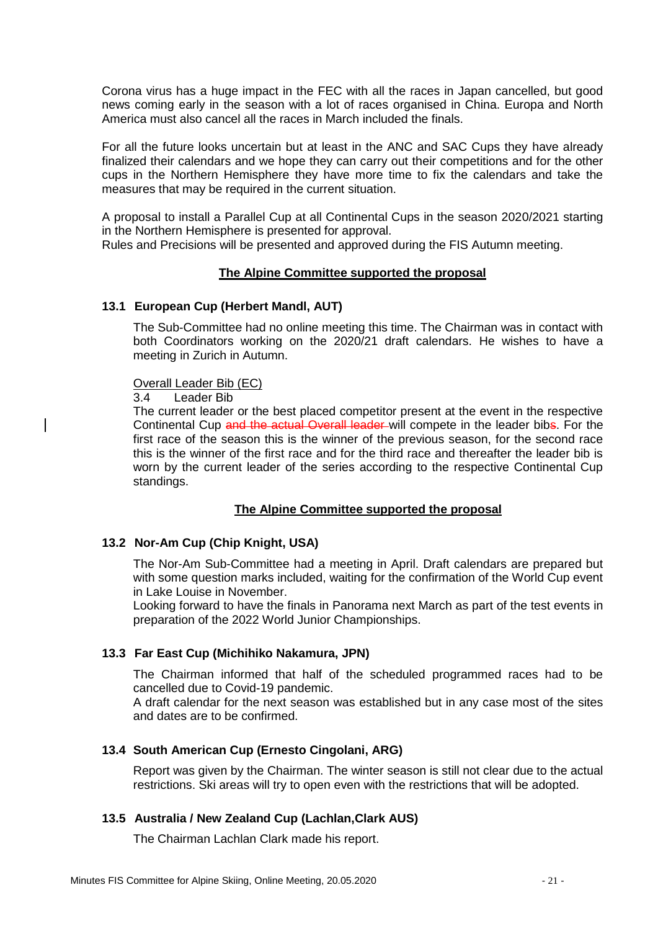Corona virus has a huge impact in the FEC with all the races in Japan cancelled, but good news coming early in the season with a lot of races organised in China. Europa and North America must also cancel all the races in March included the finals.

For all the future looks uncertain but at least in the ANC and SAC Cups they have already finalized their calendars and we hope they can carry out their competitions and for the other cups in the Northern Hemisphere they have more time to fix the calendars and take the measures that may be required in the current situation.

A proposal to install a Parallel Cup at all Continental Cups in the season 2020/2021 starting in the Northern Hemisphere is presented for approval.

Rules and Precisions will be presented and approved during the FIS Autumn meeting.

#### **The Alpine Committee supported the proposal**

#### **13.1 European Cup (Herbert Mandl, AUT)**

The Sub-Committee had no online meeting this time. The Chairman was in contact with both Coordinators working on the 2020/21 draft calendars. He wishes to have a meeting in Zurich in Autumn.

Overall Leader Bib (EC)

3.4 Leader Bib

The current leader or the best placed competitor present at the event in the respective Continental Cup and the actual Overall leader will compete in the leader bibs. For the first race of the season this is the winner of the previous season, for the second race this is the winner of the first race and for the third race and thereafter the leader bib is worn by the current leader of the series according to the respective Continental Cup standings.

#### **The Alpine Committee supported the proposal**

#### **13.2 Nor-Am Cup (Chip Knight, USA)**

The Nor-Am Sub-Committee had a meeting in April. Draft calendars are prepared but with some question marks included, waiting for the confirmation of the World Cup event in Lake Louise in November.

Looking forward to have the finals in Panorama next March as part of the test events in preparation of the 2022 World Junior Championships.

#### **13.3 Far East Cup (Michihiko Nakamura, JPN)**

The Chairman informed that half of the scheduled programmed races had to be cancelled due to Covid-19 pandemic.

A draft calendar for the next season was established but in any case most of the sites and dates are to be confirmed.

#### **13.4 South American Cup (Ernesto Cingolani, ARG)**

Report was given by the Chairman. The winter season is still not clear due to the actual restrictions. Ski areas will try to open even with the restrictions that will be adopted.

#### **13.5 Australia / New Zealand Cup (Lachlan,Clark AUS)**

The Chairman Lachlan Clark made his report.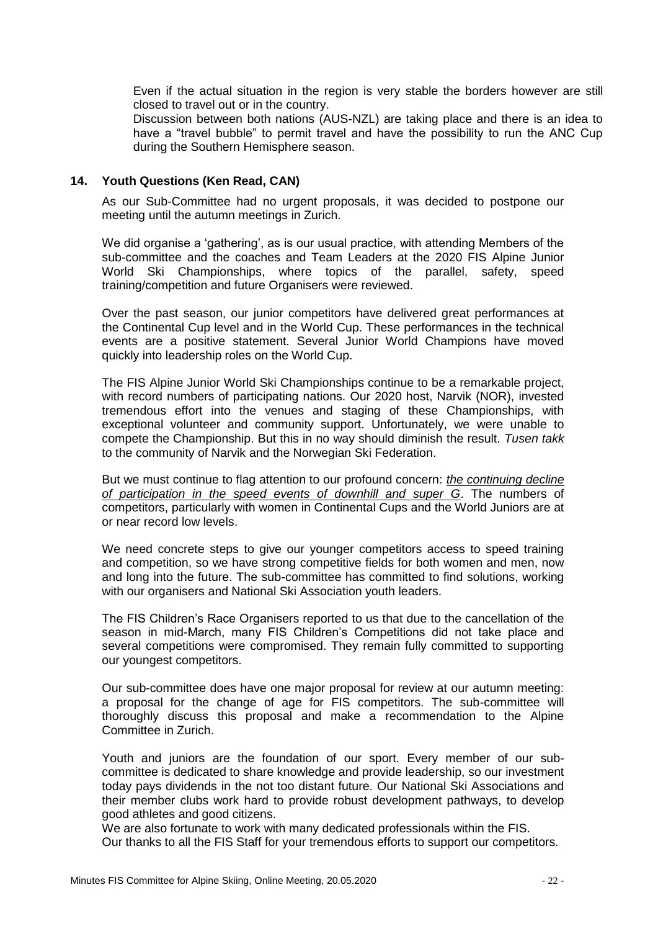Even if the actual situation in the region is very stable the borders however are still closed to travel out or in the country.

Discussion between both nations (AUS-NZL) are taking place and there is an idea to have a "travel bubble" to permit travel and have the possibility to run the ANC Cup during the Southern Hemisphere season.

#### **14. Youth Questions (Ken Read, CAN)**

As our Sub-Committee had no urgent proposals, it was decided to postpone our meeting until the autumn meetings in Zurich.

We did organise a 'gathering', as is our usual practice, with attending Members of the sub-committee and the coaches and Team Leaders at the 2020 FIS Alpine Junior World Ski Championships, where topics of the parallel, safety, speed training/competition and future Organisers were reviewed.

Over the past season, our junior competitors have delivered great performances at the Continental Cup level and in the World Cup. These performances in the technical events are a positive statement. Several Junior World Champions have moved quickly into leadership roles on the World Cup.

The FIS Alpine Junior World Ski Championships continue to be a remarkable project, with record numbers of participating nations. Our 2020 host, Narvik (NOR), invested tremendous effort into the venues and staging of these Championships, with exceptional volunteer and community support. Unfortunately, we were unable to compete the Championship. But this in no way should diminish the result. *Tusen takk* to the community of Narvik and the Norwegian Ski Federation.

But we must continue to flag attention to our profound concern: *the continuing decline of participation in the speed events of downhill and super G*. The numbers of competitors, particularly with women in Continental Cups and the World Juniors are at or near record low levels.

We need concrete steps to give our younger competitors access to speed training and competition, so we have strong competitive fields for both women and men, now and long into the future. The sub-committee has committed to find solutions, working with our organisers and National Ski Association youth leaders.

The FIS Children's Race Organisers reported to us that due to the cancellation of the season in mid-March, many FIS Children's Competitions did not take place and several competitions were compromised. They remain fully committed to supporting our youngest competitors.

Our sub-committee does have one major proposal for review at our autumn meeting: a proposal for the change of age for FIS competitors. The sub-committee will thoroughly discuss this proposal and make a recommendation to the Alpine Committee in Zurich.

Youth and juniors are the foundation of our sport. Every member of our subcommittee is dedicated to share knowledge and provide leadership, so our investment today pays dividends in the not too distant future. Our National Ski Associations and their member clubs work hard to provide robust development pathways, to develop good athletes and good citizens.

We are also fortunate to work with many dedicated professionals within the FIS.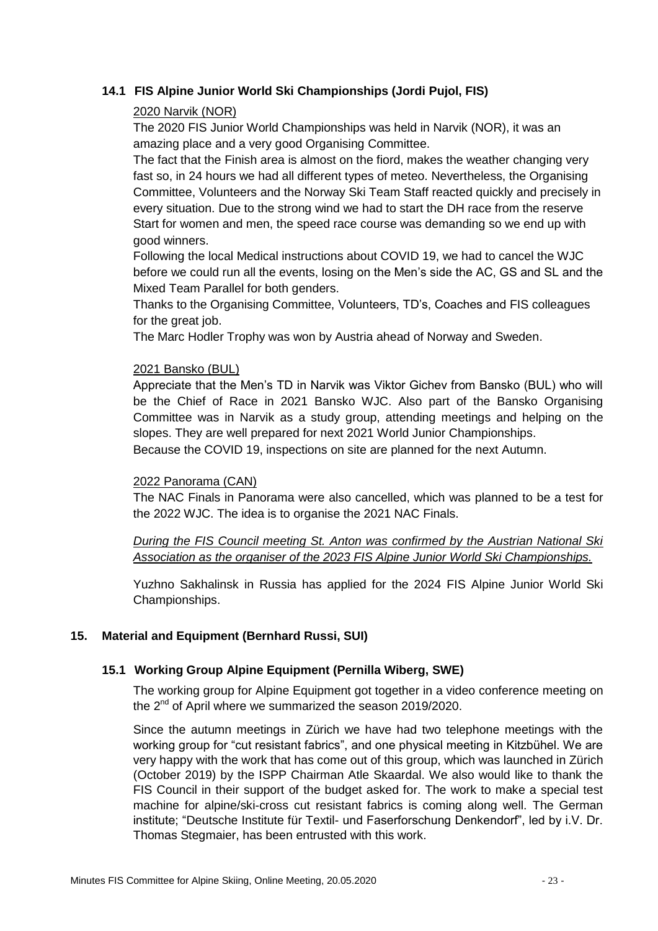#### **14.1 FIS Alpine Junior World Ski Championships (Jordi Pujol, FIS)**

#### 2020 Narvik (NOR)

The 2020 FIS Junior World Championships was held in Narvik (NOR), it was an amazing place and a very good Organising Committee.

The fact that the Finish area is almost on the fiord, makes the weather changing very fast so, in 24 hours we had all different types of meteo. Nevertheless, the Organising Committee, Volunteers and the Norway Ski Team Staff reacted quickly and precisely in every situation. Due to the strong wind we had to start the DH race from the reserve Start for women and men, the speed race course was demanding so we end up with good winners.

Following the local Medical instructions about COVID 19, we had to cancel the WJC before we could run all the events, losing on the Men's side the AC, GS and SL and the Mixed Team Parallel for both genders.

Thanks to the Organising Committee, Volunteers, TD's, Coaches and FIS colleagues for the great job.

The Marc Hodler Trophy was won by Austria ahead of Norway and Sweden.

#### 2021 Bansko (BUL)

Appreciate that the Men's TD in Narvik was Viktor Gichev from Bansko (BUL) who will be the Chief of Race in 2021 Bansko WJC. Also part of the Bansko Organising Committee was in Narvik as a study group, attending meetings and helping on the slopes. They are well prepared for next 2021 World Junior Championships.

Because the COVID 19, inspections on site are planned for the next Autumn.

#### 2022 Panorama (CAN)

The NAC Finals in Panorama were also cancelled, which was planned to be a test for the 2022 WJC. The idea is to organise the 2021 NAC Finals.

*During the FIS Council meeting St. Anton was confirmed by the Austrian National Ski Association as the organiser of the 2023 FIS Alpine Junior World Ski Championships.*

Yuzhno Sakhalinsk in Russia has applied for the 2024 FIS Alpine Junior World Ski Championships.

#### **15. Material and Equipment (Bernhard Russi, SUI)**

#### **15.1 Working Group Alpine Equipment (Pernilla Wiberg, SWE)**

The working group for Alpine Equipment got together in a video conference meeting on the 2<sup>nd</sup> of April where we summarized the season 2019/2020.

Since the autumn meetings in Zürich we have had two telephone meetings with the working group for "cut resistant fabrics", and one physical meeting in Kitzbühel. We are very happy with the work that has come out of this group, which was launched in Zürich (October 2019) by the ISPP Chairman Atle Skaardal. We also would like to thank the FIS Council in their support of the budget asked for. The work to make a special test machine for alpine/ski-cross cut resistant fabrics is coming along well. The German institute; "Deutsche Institute für Textil- und Faserforschung Denkendorf", led by i.V. Dr. Thomas Stegmaier, has been entrusted with this work.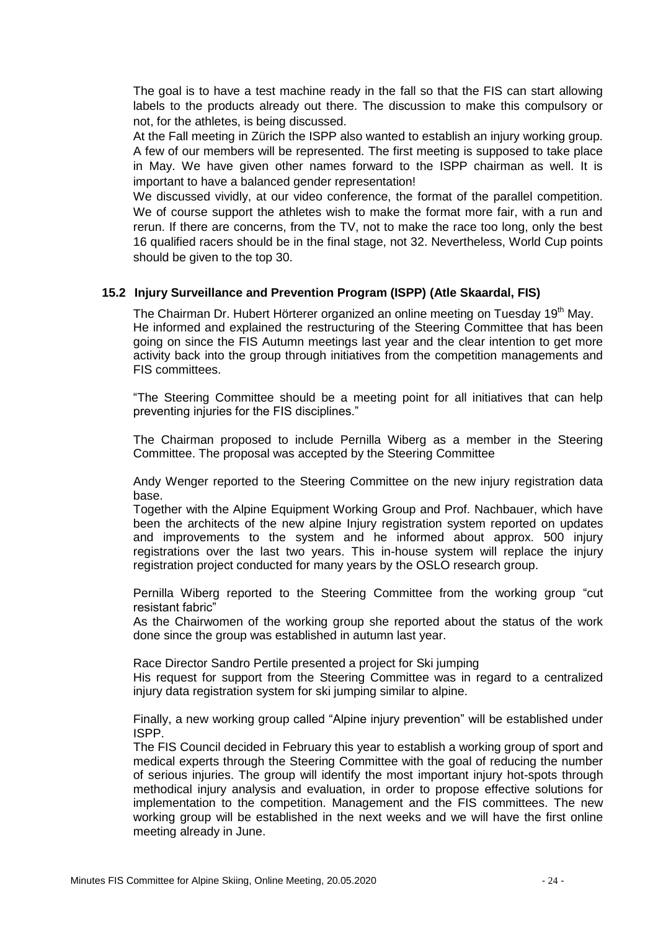The goal is to have a test machine ready in the fall so that the FIS can start allowing labels to the products already out there. The discussion to make this compulsory or not, for the athletes, is being discussed.

At the Fall meeting in Zürich the ISPP also wanted to establish an injury working group. A few of our members will be represented. The first meeting is supposed to take place in May. We have given other names forward to the ISPP chairman as well. It is important to have a balanced gender representation!

We discussed vividly, at our video conference, the format of the parallel competition. We of course support the athletes wish to make the format more fair, with a run and rerun. If there are concerns, from the TV, not to make the race too long, only the best 16 qualified racers should be in the final stage, not 32. Nevertheless, World Cup points should be given to the top 30.

#### **15.2 Injury Surveillance and Prevention Program (ISPP) (Atle Skaardal, FIS)**

The Chairman Dr. Hubert Hörterer organized an online meeting on Tuesday 19<sup>th</sup> May. He informed and explained the restructuring of the Steering Committee that has been going on since the FIS Autumn meetings last year and the clear intention to get more activity back into the group through initiatives from the competition managements and FIS committees.

"The Steering Committee should be a meeting point for all initiatives that can help preventing injuries for the FIS disciplines."

The Chairman proposed to include Pernilla Wiberg as a member in the Steering Committee. The proposal was accepted by the Steering Committee

Andy Wenger reported to the Steering Committee on the new injury registration data base.

Together with the Alpine Equipment Working Group and Prof. Nachbauer, which have been the architects of the new alpine Injury registration system reported on updates and improvements to the system and he informed about approx. 500 injury registrations over the last two years. This in-house system will replace the injury registration project conducted for many years by the OSLO research group.

Pernilla Wiberg reported to the Steering Committee from the working group "cut resistant fabric"

As the Chairwomen of the working group she reported about the status of the work done since the group was established in autumn last year.

Race Director Sandro Pertile presented a project for Ski jumping

His request for support from the Steering Committee was in regard to a centralized injury data registration system for ski jumping similar to alpine.

Finally, a new working group called "Alpine injury prevention" will be established under ISPP.

The FIS Council decided in February this year to establish a working group of sport and medical experts through the Steering Committee with the goal of reducing the number of serious injuries. The group will identify the most important injury hot-spots through methodical injury analysis and evaluation, in order to propose effective solutions for implementation to the competition. Management and the FIS committees. The new working group will be established in the next weeks and we will have the first online meeting already in June.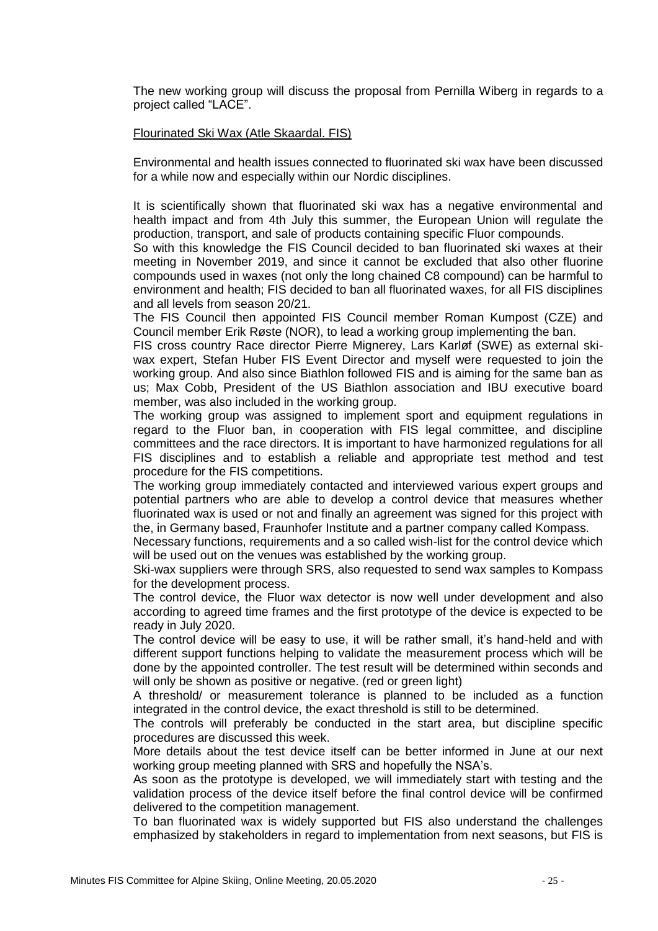The new working group will discuss the proposal from Pernilla Wiberg in regards to a project called "LACE".

#### Flourinated Ski Wax (Atle Skaardal. FIS)

Environmental and health issues connected to fluorinated ski wax have been discussed for a while now and especially within our Nordic disciplines.

It is scientifically shown that fluorinated ski wax has a negative environmental and health impact and from 4th July this summer, the European Union will regulate the production, transport, and sale of products containing specific Fluor compounds.

So with this knowledge the FIS Council decided to ban fluorinated ski waxes at their meeting in November 2019, and since it cannot be excluded that also other fluorine compounds used in waxes (not only the long chained C8 compound) can be harmful to environment and health; FIS decided to ban all fluorinated waxes, for all FIS disciplines and all levels from season 20/21.

The FIS Council then appointed FIS Council member Roman Kumpost (CZE) and Council member Erik Røste (NOR), to lead a working group implementing the ban.

FIS cross country Race director Pierre Mignerey, Lars Karløf (SWE) as external skiwax expert, Stefan Huber FIS Event Director and myself were requested to join the working group. And also since Biathlon followed FIS and is aiming for the same ban as us; Max Cobb, President of the US Biathlon association and IBU executive board member, was also included in the working group.

The working group was assigned to implement sport and equipment regulations in regard to the Fluor ban, in cooperation with FIS legal committee, and discipline committees and the race directors. It is important to have harmonized regulations for all FIS disciplines and to establish a reliable and appropriate test method and test procedure for the FIS competitions.

The working group immediately contacted and interviewed various expert groups and potential partners who are able to develop a control device that measures whether fluorinated wax is used or not and finally an agreement was signed for this project with the, in Germany based, Fraunhofer Institute and a partner company called Kompass.

Necessary functions, requirements and a so called wish-list for the control device which will be used out on the venues was established by the working group.

Ski-wax suppliers were through SRS, also requested to send wax samples to Kompass for the development process.

The control device, the Fluor wax detector is now well under development and also according to agreed time frames and the first prototype of the device is expected to be ready in July 2020.

The control device will be easy to use, it will be rather small, it's hand-held and with different support functions helping to validate the measurement process which will be done by the appointed controller. The test result will be determined within seconds and will only be shown as positive or negative. (red or green light)

A threshold/ or measurement tolerance is planned to be included as a function integrated in the control device, the exact threshold is still to be determined.

The controls will preferably be conducted in the start area, but discipline specific procedures are discussed this week.

More details about the test device itself can be better informed in June at our next working group meeting planned with SRS and hopefully the NSA's.

As soon as the prototype is developed, we will immediately start with testing and the validation process of the device itself before the final control device will be confirmed delivered to the competition management.

To ban fluorinated wax is widely supported but FIS also understand the challenges emphasized by stakeholders in regard to implementation from next seasons, but FIS is